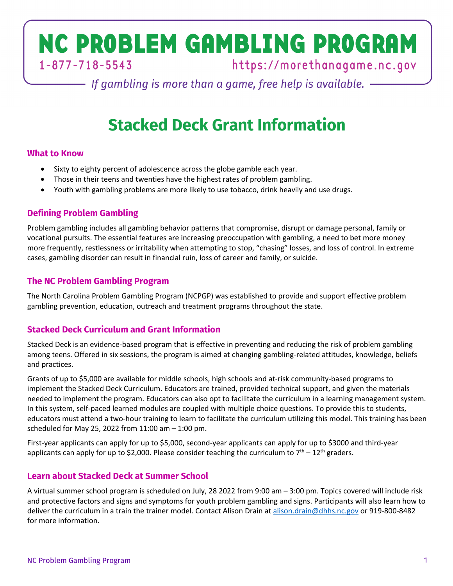# NC PROBLEM GAMBLING PROGRAM  $1 - 877 - 718 - 5543$

https://morethanagame.nc.gov

 $-$  If gambling is more than a game, free help is available.  $-$ 

# **Stacked Deck Grant Information**

## **What to Know**

- Sixty to eighty percent of adolescence across the globe gamble each year.
- Those in their teens and twenties have the highest rates of problem gambling.
- Youth with gambling problems are more likely to use tobacco, drink heavily and use drugs.

# **Defining Problem Gambling**

Problem gambling includes all gambling behavior patterns that compromise, disrupt or damage personal, family or vocational pursuits. The essential features are increasing preoccupation with gambling, a need to bet more money more frequently, restlessness or irritability when attempting to stop, "chasing" losses, and loss of control. In extreme cases, gambling disorder can result in financial ruin, loss of career and family, or suicide.

## **The NC Problem Gambling Program**

The North Carolina Problem Gambling Program (NCPGP) was established to provide and support effective problem gambling prevention, education, outreach and treatment programs throughout the state.

# **Stacked Deck Curriculum and Grant Information**

Stacked Deck is an evidence-based program that is effective in preventing and reducing the risk of problem gambling among teens. Offered in six sessions, the program is aimed at changing gambling-related attitudes, knowledge, beliefs and practices.

Grants of up to \$5,000 are available for middle schools, high schools and at-risk community-based programs to implement the Stacked Deck Curriculum. Educators are trained, provided technical support, and given the materials needed to implement the program. Educators can also opt to facilitate the curriculum in a learning management system. In this system, self-paced learned modules are coupled with multiple choice questions. To provide this to students, educators must attend a two-hour training to learn to facilitate the curriculum utilizing this model. This training has been scheduled for May 25, 2022 from 11:00 am – 1:00 pm.

First-year applicants can apply for up to \$5,000, second-year applicants can apply for up to \$3000 and third-year applicants can apply for up to \$2,000. Please consider teaching the curriculum to  $7<sup>th</sup> - 12<sup>th</sup>$  graders.

# **Learn about Stacked Deck at Summer School**

A virtual summer school program is scheduled on July, 28 2022 from 9:00 am – 3:00 pm. Topics covered will include risk and protective factors and signs and symptoms for youth problem gambling and signs. Participants will also learn how to deliver the curriculum in a train the trainer model. Contact Alison Drain at alison.drain@dhhs.nc.gov or 919-800-8482 for more information.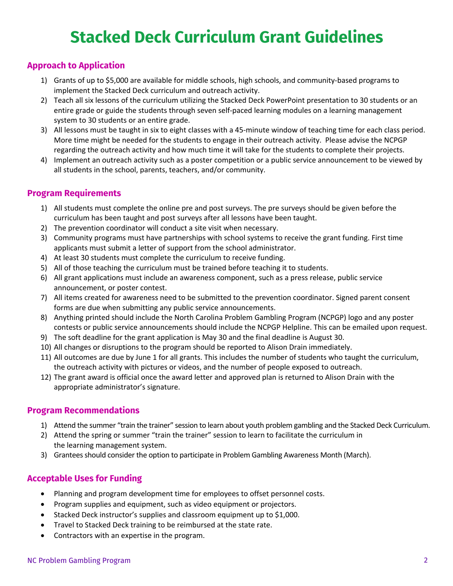# **Stacked Deck Curriculum Grant Guidelines**

## **Approach to Application**

- 1) Grants of up to \$5,000 are available for middle schools, high schools, and community-based programs to implement the Stacked Deck curriculum and outreach activity.
- 2) Teach all six lessons of the curriculum utilizing the Stacked Deck PowerPoint presentation to 30 students or an entire grade or guide the students through seven self-paced learning modules on a learning management system to 30 students or an entire grade.
- 3) All lessons must be taught in six to eight classes with a 45-minute window of teaching time for each class period. More time might be needed for the students to engage in their outreach activity. Please advise the NCPGP regarding the outreach activity and how much time it will take for the students to complete their projects.
- 4) Implement an outreach activity such as a poster competition or a public service announcement to be viewed by all students in the school, parents, teachers, and/or community.

#### **Program Requirements**

- 1) All students must complete the online pre and post surveys. The pre surveys should be given before the curriculum has been taught and post surveys after all lessons have been taught.
- 2) The prevention coordinator will conduct a site visit when necessary.
- 3) Community programs must have partnerships with school systems to receive the grant funding. First time applicants must submit a letter of support from the school administrator.
- 4) At least 30 students must complete the curriculum to receive funding.
- 5) All of those teaching the curriculum must be trained before teaching it to students.
- 6) All grant applications must include an awareness component, such as a press release, public service announcement, or poster contest.
- 7) All items created for awareness need to be submitted to the prevention coordinator. Signed parent consent forms are due when submitting any public service announcements.
- 8) Anything printed should include the North Carolina Problem Gambling Program (NCPGP) logo and any poster contests or public service announcements should include the NCPGP Helpline. This can be emailed upon request.
- 9) The soft deadline for the grant application is May 30 and the final deadline is August 30.
- 10) All changes or disruptions to the program should be reported to Alison Drain immediately.
- 11) All outcomes are due by June 1 for all grants. This includes the number of students who taught the curriculum, the outreach activity with pictures or videos, and the number of people exposed to outreach.
- 12) The grant award is official once the award letter and approved plan is returned to Alison Drain with the appropriate administrator's signature.

#### **Program Recommendations**

- 1) Attend the summer "train the trainer" session to learn about youth problem gambling and the Stacked Deck Curriculum.
- 2) Attend the spring or summer "train the trainer" session to learn to facilitate the curriculum in the learning management system.
- 3) Grantees should consider the option to participate in Problem Gambling Awareness Month (March).

### **Acceptable Uses for Funding**

- Planning and program development time for employees to offset personnel costs.
- Program supplies and equipment, such as video equipment or projectors.
- Stacked Deck instructor's supplies and classroom equipment up to \$1,000.
- Travel to Stacked Deck training to be reimbursed at the state rate.
- Contractors with an expertise in the program.